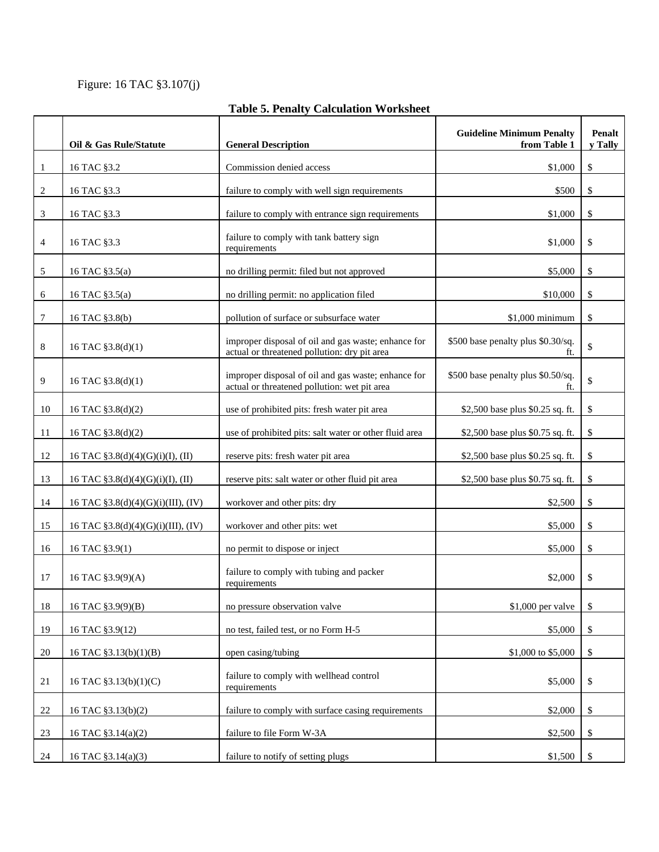Figure: 16 TAC §3.107(j)

|                | Oil & Gas Rule/Statute             | <b>General Description</b>                                                                          | <b>Guideline Minimum Penalty</b><br>from Table 1 | <b>Penalt</b><br>v Tally |
|----------------|------------------------------------|-----------------------------------------------------------------------------------------------------|--------------------------------------------------|--------------------------|
| -1             | 16 TAC §3.2                        | Commission denied access                                                                            | \$1,000                                          | \$                       |
| 2              | 16 TAC §3.3                        | failure to comply with well sign requirements                                                       | \$500                                            | \$                       |
| 3              | 16 TAC §3.3                        | failure to comply with entrance sign requirements                                                   | \$1,000                                          | \$                       |
| $\overline{4}$ | 16 TAC §3.3                        | failure to comply with tank battery sign<br>requirements                                            | \$1,000                                          | \$                       |
| 5              | 16 TAC §3.5(a)                     | no drilling permit: filed but not approved                                                          | \$5,000                                          | \$                       |
| 6              | 16 TAC §3.5(a)                     | no drilling permit: no application filed                                                            | \$10,000                                         | \$                       |
| $\overline{7}$ | 16 TAC §3.8(b)                     | pollution of surface or subsurface water                                                            | $$1,000$ minimum                                 | \$                       |
| 8              | 16 TAC §3.8(d)(1)                  | improper disposal of oil and gas waste; enhance for<br>actual or threatened pollution: dry pit area | \$500 base penalty plus \$0.30/sq.<br>ft.        | \$                       |
| 9              | 16 TAC $$3.8(d)(1)$                | improper disposal of oil and gas waste; enhance for<br>actual or threatened pollution: wet pit area | \$500 base penalty plus \$0.50/sq.<br>ft.        | \$                       |
| 10             | 16 TAC §3.8(d)(2)                  | use of prohibited pits: fresh water pit area                                                        | \$2,500 base plus \$0.25 sq. ft.                 | \$                       |
| 11             | 16 TAC §3.8(d)(2)                  | use of prohibited pits: salt water or other fluid area                                              | \$2,500 base plus \$0.75 sq. ft.                 | \$                       |
| 12             | 16 TAC §3.8(d)(4)(G)(i)(I), (II)   | reserve pits: fresh water pit area                                                                  | \$2,500 base plus \$0.25 sq. ft.                 | \$                       |
| 13             | 16 TAC §3.8(d)(4)(G)(i)(I), (II)   | reserve pits: salt water or other fluid pit area                                                    | \$2,500 base plus \$0.75 sq. ft.                 | \$                       |
| 14             | 16 TAC §3.8(d)(4)(G)(i)(III), (IV) | workover and other pits: dry                                                                        | \$2,500                                          | \$                       |
| 15             | 16 TAC §3.8(d)(4)(G)(i)(III), (IV) | workover and other pits: wet                                                                        | \$5,000                                          | \$                       |
| 16             | 16 TAC §3.9(1)                     | no permit to dispose or inject                                                                      | \$5,000                                          | \$                       |
| 17             | 16 TAC §3.9(9)(A)                  | failure to comply with tubing and packer<br>requirements                                            | \$2,000                                          | \$                       |
| 18             | 16 TAC §3.9(9)(B)                  | no pressure observation valve                                                                       | \$1,000 per valve                                | \$                       |
| 19             | 16 TAC §3.9(12)                    | no test, failed test, or no Form H-5                                                                | \$5,000                                          | \$                       |
| 20             | 16 TAC §3.13(b)(1)(B)              | open casing/tubing                                                                                  | \$1,000 to \$5,000                               | \$                       |
| 21             | 16 TAC §3.13(b)(1)(C)              | failure to comply with wellhead control<br>requirements                                             | \$5,000                                          | \$                       |
| 22             | 16 TAC §3.13(b)(2)                 | failure to comply with surface casing requirements                                                  | \$2,000                                          | \$                       |
| 23             | 16 TAC §3.14(a)(2)                 | failure to file Form W-3A                                                                           | \$2,500                                          | \$                       |
| 24             | 16 TAC §3.14(a)(3)                 | failure to notify of setting plugs                                                                  | \$1,500                                          | - \$                     |

## **Table 5. Penalty Calculation Worksheet**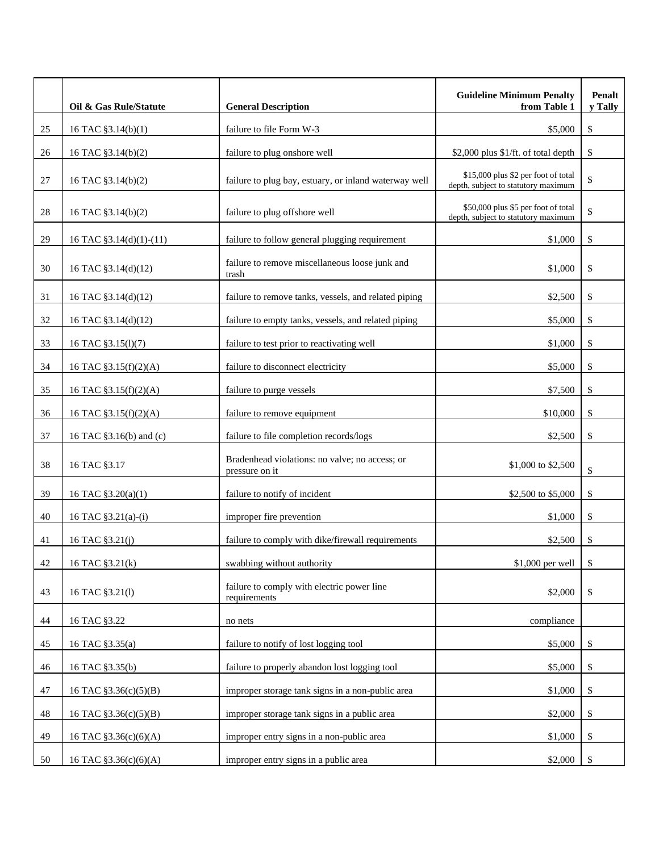|        | Oil & Gas Rule/Statute  | <b>General Description</b>                                       | <b>Guideline Minimum Penalty</b><br>from Table 1                           | Penalt<br>y Tally |
|--------|-------------------------|------------------------------------------------------------------|----------------------------------------------------------------------------|-------------------|
| 25     | 16 TAC §3.14(b)(1)      | failure to file Form W-3                                         | \$5,000                                                                    | \$                |
| 26     | 16 TAC §3.14(b)(2)      | failure to plug onshore well                                     | \$2,000 plus \$1/ft. of total depth                                        | \$                |
| 27     | 16 TAC §3.14(b)(2)      | failure to plug bay, estuary, or inland waterway well            | \$15,000 plus \$2 per foot of total<br>depth, subject to statutory maximum | \$                |
| $28\,$ | 16 TAC §3.14(b)(2)      | failure to plug offshore well                                    | \$50,000 plus \$5 per foot of total<br>depth, subject to statutory maximum | \$                |
| 29     | 16 TAC §3.14(d)(1)-(11) | failure to follow general plugging requirement                   | \$1,000                                                                    | \$                |
| 30     | 16 TAC §3.14(d)(12)     | failure to remove miscellaneous loose junk and<br>trash          | \$1,000                                                                    | \$                |
| 31     | 16 TAC §3.14(d)(12)     | failure to remove tanks, vessels, and related piping             | \$2,500                                                                    | \$                |
| 32     | 16 TAC §3.14(d)(12)     | failure to empty tanks, vessels, and related piping              | \$5,000                                                                    | \$                |
| 33     | 16 TAC §3.15(1)(7)      | failure to test prior to reactivating well                       | \$1,000                                                                    | \$                |
| 34     | 16 TAC §3.15(f)(2)(A)   | failure to disconnect electricity                                | \$5,000                                                                    | \$                |
| 35     | 16 TAC §3.15(f)(2)(A)   | failure to purge vessels                                         | \$7,500                                                                    | \$                |
| 36     | 16 TAC §3.15(f)(2)(A)   | failure to remove equipment                                      | \$10,000                                                                   | \$                |
| 37     | 16 TAC §3.16(b) and (c) | failure to file completion records/logs                          | \$2,500                                                                    | \$                |
| 38     | 16 TAC §3.17            | Bradenhead violations: no valve; no access; or<br>pressure on it | \$1,000 to \$2,500                                                         | \$                |
| 39     | 16 TAC §3.20(a)(1)      | failure to notify of incident                                    | \$2,500 to \$5,000                                                         | \$                |
| 40     | 16 TAC §3.21(a)-(i)     | improper fire prevention                                         | \$1,000                                                                    | \$                |
| 41     | 16 TAC §3.21(j)         | failure to comply with dike/firewall requirements                | \$2,500                                                                    | \$                |
| 42     | 16 TAC §3.21(k)         | swabbing without authority                                       | \$1,000 per well                                                           | \$                |
| 43     | 16 TAC §3.21(1)         | failure to comply with electric power line<br>requirements       | \$2,000                                                                    | \$                |
| 44     | 16 TAC §3.22            | no nets                                                          | compliance                                                                 |                   |
| 45     | 16 TAC §3.35(a)         | failure to notify of lost logging tool                           | \$5,000                                                                    | \$                |
| 46     | 16 TAC §3.35(b)         | failure to properly abandon lost logging tool                    | \$5,000                                                                    | \$                |
| 47     | 16 TAC §3.36(c)(5)(B)   | improper storage tank signs in a non-public area                 | \$1,000                                                                    | \$                |
| 48     | 16 TAC §3.36(c)(5)(B)   | improper storage tank signs in a public area                     | \$2,000                                                                    | \$                |
| 49     | 16 TAC §3.36(c)(6)(A)   | improper entry signs in a non-public area                        | \$1,000                                                                    | \$                |
| 50     | 16 TAC §3.36(c)(6)(A)   | improper entry signs in a public area                            | \$2,000                                                                    | \$                |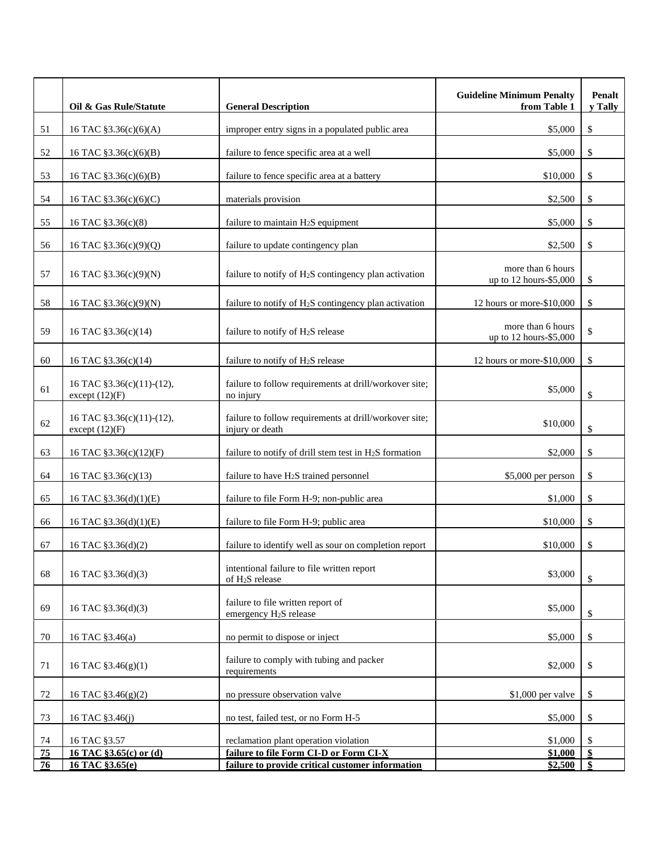|                       | Oil & Gas Rule/Statute                        | <b>General Description</b>                                                                 | <b>Guideline Minimum Penalty</b><br>from Table 1 | Penalt<br>y Tally |
|-----------------------|-----------------------------------------------|--------------------------------------------------------------------------------------------|--------------------------------------------------|-------------------|
| 51                    | 16 TAC §3.36(c)(6)(A)                         | improper entry signs in a populated public area                                            | \$5,000                                          | \$                |
| 52                    | 16 TAC §3.36(c)(6)(B)                         | failure to fence specific area at a well                                                   | \$5,000                                          | \$                |
| 53                    | 16 TAC §3.36(c)(6)(B)                         | failure to fence specific area at a battery                                                | \$10,000                                         | \$                |
| 54                    | 16 TAC §3.36(c)(6)(C)                         | materials provision                                                                        | \$2,500                                          | \$                |
| 55                    | 16 TAC §3.36(c)(8)                            | failure to maintain H <sub>2</sub> S equipment                                             | \$5,000                                          | \$                |
| 56                    | 16 TAC §3.36(c)(9)(Q)                         | failure to update contingency plan                                                         | \$2,500                                          | \$                |
| 57                    | 16 TAC §3.36(c)(9)(N)                         | failure to notify of H <sub>2</sub> S contingency plan activation                          | more than 6 hours<br>up to 12 hours-\$5,000      | \$                |
| 58                    | 16 TAC §3.36(c)(9)(N)                         | failure to notify of H <sub>2</sub> S contingency plan activation                          | 12 hours or more-\$10,000                        | \$                |
| 59                    | 16 TAC §3.36(c)(14)                           | failure to notify of H <sub>2</sub> S release                                              | more than 6 hours<br>up to 12 hours-\$5,000      | \$                |
| 60                    | 16 TAC §3.36(c)(14)                           | failure to notify of H <sub>2</sub> S release                                              | 12 hours or more-\$10,000                        | \$                |
| 61                    | 16 TAC §3.36(c)(11)-(12),<br>except $(12)(F)$ | failure to follow requirements at drill/workover site;<br>no injury                        | \$5,000                                          | \$                |
| 62                    | 16 TAC §3.36(c)(11)-(12),<br>except $(12)(F)$ | failure to follow requirements at drill/workover site;<br>injury or death                  | \$10,000                                         | \$                |
| 63                    | 16 TAC §3.36(c)(12)(F)                        | failure to notify of drill stem test in $H_2S$ formation                                   | \$2,000                                          | \$                |
| 64                    | 16 TAC §3.36(c)(13)                           | failure to have H <sub>2</sub> S trained personnel                                         | \$5,000 per person                               | \$                |
| 65                    | 16 TAC §3.36(d)(1)(E)                         | failure to file Form H-9; non-public area                                                  | \$1,000                                          | \$                |
| 66                    | 16 TAC §3.36(d)(1)(E)                         | failure to file Form H-9; public area                                                      | \$10,000                                         | \$                |
| 67                    | 16 TAC §3.36(d)(2)                            | failure to identify well as sour on completion report                                      | \$10,000                                         | \$                |
| 68                    | 16 TAC §3.36(d)(3)                            | intentional failure to file written report<br>of H <sub>2</sub> S release                  | \$3,000                                          | \$                |
| 69                    | 16 TAC §3.36(d)(3)                            | failure to file written report of<br>emergency H <sub>2</sub> S release                    | \$5,000                                          | \$                |
| 70                    | 16 TAC §3.46(a)                               | no permit to dispose or inject                                                             | \$5,000                                          | \$                |
| 71                    | 16 TAC §3.46(g)(1)                            | failure to comply with tubing and packer<br>requirements                                   | \$2,000                                          | \$                |
| 72                    | 16 TAC §3.46(g)(2)                            | no pressure observation valve                                                              | \$1,000 per valve                                | \$                |
| 73                    | 16 TAC §3.46(j)                               | no test, failed test, or no Form H-5                                                       | \$5,000                                          | \$                |
| 74                    | 16 TAC §3.57                                  | reclamation plant operation violation                                                      | \$1,000                                          | \$                |
| $\overline{75}$<br>76 | 16 TAC §3.65(c) or (d)<br>16 TAC §3.65(e)     | failure to file Form CI-D or Form CI-X<br>failure to provide critical customer information | \$1,000<br>\$2,500                               | \$<br>\$          |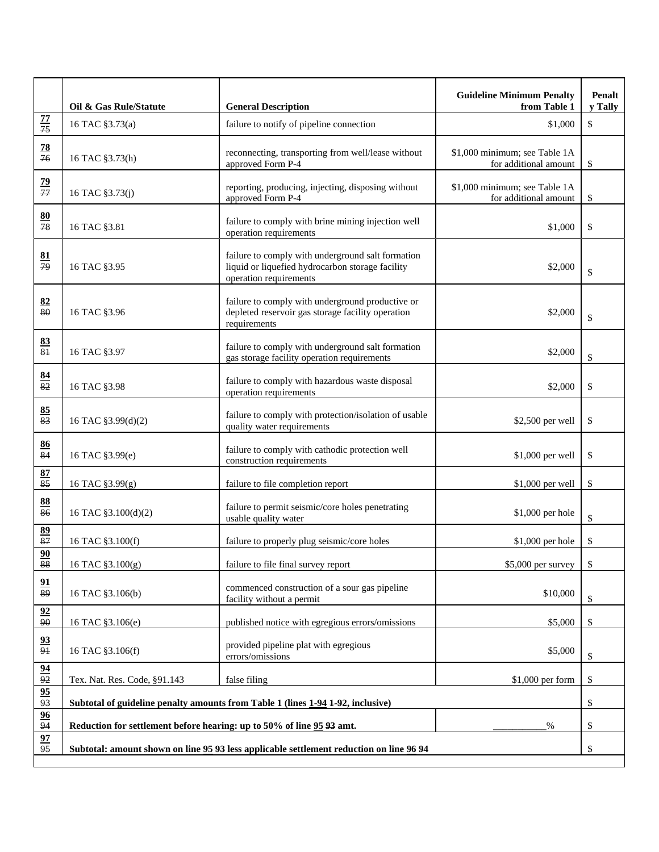|                                     | Oil & Gas Rule/Statute                                                                  | <b>General Description</b>                                                                                                      | <b>Guideline Minimum Penalty</b><br>from Table 1       | Penalt<br>y Tally |
|-------------------------------------|-----------------------------------------------------------------------------------------|---------------------------------------------------------------------------------------------------------------------------------|--------------------------------------------------------|-------------------|
| $\frac{77}{75}$                     | 16 TAC §3.73(a)                                                                         | failure to notify of pipeline connection                                                                                        | \$1,000                                                | \$                |
| $\overline{28}$<br>$\overline{76}$  | 16 TAC §3.73(h)                                                                         | reconnecting, transporting from well/lease without<br>approved Form P-4                                                         | \$1,000 minimum; see Table 1A<br>for additional amount | \$                |
| $\frac{79}{77}$                     | 16 TAC §3.73(j)                                                                         | reporting, producing, injecting, disposing without<br>approved Form P-4                                                         | \$1,000 minimum; see Table 1A<br>for additional amount | \$                |
| 80<br>$\overline{78}$               | 16 TAC §3.81                                                                            | failure to comply with brine mining injection well<br>operation requirements                                                    | \$1,000                                                | \$                |
| $\underline{81}$<br>$\overline{79}$ | 16 TAC §3.95                                                                            | failure to comply with underground salt formation<br>liquid or liquefied hydrocarbon storage facility<br>operation requirements | \$2,000                                                | \$                |
| 82<br>80                            | 16 TAC §3.96                                                                            | failure to comply with underground productive or<br>depleted reservoir gas storage facility operation<br>requirements           | \$2,000                                                | \$                |
| $\frac{83}{81}$                     | 16 TAC §3.97                                                                            | failure to comply with underground salt formation<br>gas storage facility operation requirements                                | \$2,000                                                | \$                |
| $\frac{84}{82}$                     | 16 TAC §3.98                                                                            | failure to comply with hazardous waste disposal<br>operation requirements                                                       | \$2,000                                                | \$                |
| 85<br>83                            | 16 TAC §3.99(d)(2)                                                                      | failure to comply with protection/isolation of usable<br>quality water requirements                                             | \$2,500 per well                                       | \$                |
| 86<br>$\overline{84}$               | 16 TAC §3.99(e)                                                                         | failure to comply with cathodic protection well<br>construction requirements                                                    | \$1,000 per well                                       | \$                |
| 87<br>$\overline{85}$               | 16 TAC §3.99(g)                                                                         | failure to file completion report                                                                                               | \$1,000 per well                                       | \$                |
| $\frac{88}{86}$                     | 16 TAC §3.100(d)(2)                                                                     | failure to permit seismic/core holes penetrating<br>usable quality water                                                        | \$1,000 per hole                                       | \$                |
| $\frac{89}{87}$                     | 16 TAC §3.100(f)                                                                        | failure to properly plug seismic/core holes                                                                                     | \$1,000 per hole                                       | \$                |
| 90<br>88                            | 16 TAC §3.100(g)                                                                        | failure to file final survey report                                                                                             | \$5,000 per survey                                     | \$                |
| $\frac{91}{89}$                     | 16 TAC §3.106(b)                                                                        | commenced construction of a sour gas pipeline<br>facility without a permit                                                      | \$10,000                                               | \$                |
| $\frac{92}{90}$                     | 16 TAC §3.106(e)                                                                        | published notice with egregious errors/omissions                                                                                | \$5,000                                                | \$                |
| $\frac{93}{91}$                     | 16 TAC §3.106(f)                                                                        | provided pipeline plat with egregious<br>errors/omissions                                                                       | \$5,000                                                | \$                |
| $\frac{94}{92}$                     | Tex. Nat. Res. Code, §91.143                                                            | false filing                                                                                                                    | \$1,000 per form                                       | \$                |
| $\frac{95}{93}$                     | Subtotal of guideline penalty amounts from Table 1 (lines 1-94 1-92, inclusive)         |                                                                                                                                 |                                                        | \$                |
| 96<br>94                            | Reduction for settlement before hearing: up to 50% of line 95 93 amt.<br>%              |                                                                                                                                 |                                                        | \$                |
| 97<br>$\overline{95}$               | Subtotal: amount shown on line 95 93 less applicable settlement reduction on line 96 94 |                                                                                                                                 |                                                        | \$                |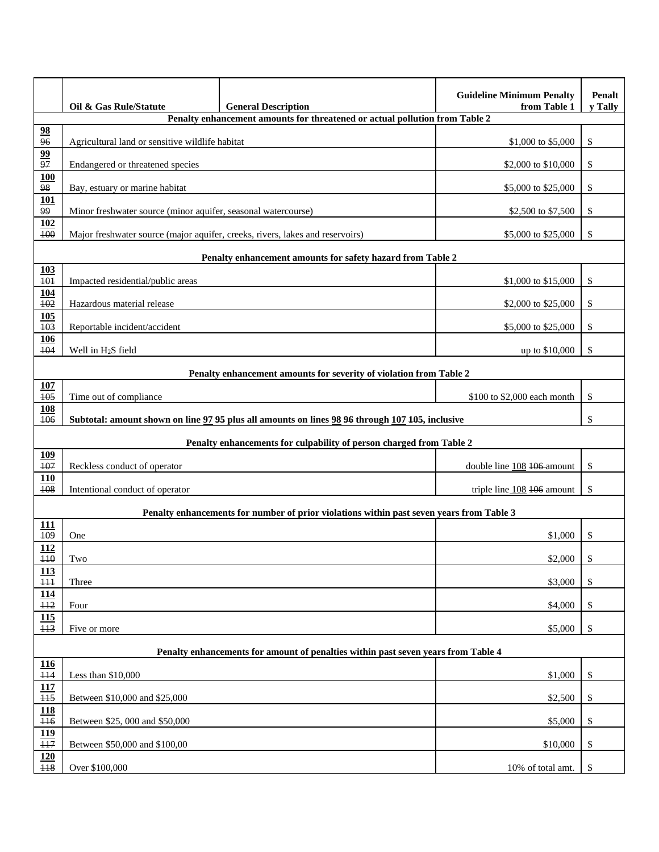|                                                                                          | Oil & Gas Rule/Statute                                                                          | <b>General Description</b>                                                  | <b>Guideline Minimum Penalty</b><br>from Table 1 | Penalt<br>y Tally |  |  |
|------------------------------------------------------------------------------------------|-------------------------------------------------------------------------------------------------|-----------------------------------------------------------------------------|--------------------------------------------------|-------------------|--|--|
|                                                                                          |                                                                                                 | Penalty enhancement amounts for threatened or actual pollution from Table 2 |                                                  |                   |  |  |
| 98<br>$\overline{96}$                                                                    | Agricultural land or sensitive wildlife habitat                                                 |                                                                             | \$1,000 to \$5,000                               | \$                |  |  |
| $\frac{99}{97}$                                                                          | Endangered or threatened species                                                                |                                                                             | \$2,000 to \$10,000                              | \$                |  |  |
| 100<br>$\overline{98}$                                                                   | Bay, estuary or marine habitat                                                                  |                                                                             | \$5,000 to \$25,000                              | \$                |  |  |
| 101<br>99                                                                                | Minor freshwater source (minor aquifer, seasonal watercourse)                                   |                                                                             | \$2,500 to \$7,500                               | \$                |  |  |
| 102<br>100                                                                               | Major freshwater source (major aquifer, creeks, rivers, lakes and reservoirs)                   |                                                                             | \$5,000 to \$25,000                              | \$                |  |  |
|                                                                                          |                                                                                                 | Penalty enhancement amounts for safety hazard from Table 2                  |                                                  |                   |  |  |
| <b>103</b><br>$\overline{101}$                                                           | Impacted residential/public areas                                                               |                                                                             | \$1,000 to \$15,000                              | \$                |  |  |
| <b>104</b><br>$\overline{102}$                                                           | Hazardous material release                                                                      |                                                                             | \$2,000 to \$25,000                              | \$                |  |  |
| 105<br>103                                                                               | Reportable incident/accident                                                                    |                                                                             | \$5,000 to \$25,000                              | \$                |  |  |
| <u>106</u><br>104                                                                        | Well in H <sub>2</sub> S field                                                                  |                                                                             | up to \$10,000                                   | \$                |  |  |
|                                                                                          | Penalty enhancement amounts for severity of violation from Table 2                              |                                                                             |                                                  |                   |  |  |
| <b>107</b><br>105                                                                        | Time out of compliance                                                                          |                                                                             | \$100 to \$2,000 each month                      | \$                |  |  |
| <b>108</b><br>106                                                                        | Subtotal: amount shown on line 97 95 plus all amounts on lines 98 96 through 107 405, inclusive |                                                                             | \$                                               |                   |  |  |
|                                                                                          |                                                                                                 | Penalty enhancements for culpability of person charged from Table 2         |                                                  |                   |  |  |
| <b>109</b><br>107                                                                        | Reckless conduct of operator                                                                    |                                                                             | double line 108 106 amount                       | \$                |  |  |
| <b>110</b><br>108                                                                        | Intentional conduct of operator                                                                 |                                                                             | triple line 108 406 amount                       | \$                |  |  |
| Penalty enhancements for number of prior violations within past seven years from Table 3 |                                                                                                 |                                                                             |                                                  |                   |  |  |
| 111<br>$\overline{109}$                                                                  | One                                                                                             |                                                                             | \$1,000                                          | \$                |  |  |
| 112<br>H <sub>0</sub>                                                                    | Two                                                                                             |                                                                             | \$2,000                                          | ¢                 |  |  |
| 113<br>$\overline{111}$                                                                  | Three                                                                                           |                                                                             | \$3,000                                          | \$                |  |  |
| 114<br>H2                                                                                | Four                                                                                            |                                                                             | \$4,000                                          | \$                |  |  |
| 115<br>H <sub>3</sub>                                                                    | Five or more                                                                                    |                                                                             | \$5,000                                          | \$                |  |  |
|                                                                                          | Penalty enhancements for amount of penalties within past seven years from Table 4               |                                                                             |                                                  |                   |  |  |
| $\frac{116}{1}$                                                                          |                                                                                                 |                                                                             |                                                  |                   |  |  |
| $\overline{114}$<br>117                                                                  | Less than $$10,000$                                                                             |                                                                             | \$1,000                                          | \$                |  |  |
| H <sub>5</sub><br><b>118</b>                                                             | Between \$10,000 and \$25,000                                                                   |                                                                             | \$2,500                                          | \$                |  |  |
| $\overline{116}$                                                                         | Between \$25, 000 and \$50,000                                                                  |                                                                             | \$5,000                                          | \$                |  |  |
| 119<br>$\overline{117}$                                                                  | Between \$50,000 and \$100,00                                                                   |                                                                             | \$10,000                                         | \$                |  |  |
| 120<br>118                                                                               | Over \$100,000                                                                                  |                                                                             | 10% of total amt.                                | \$                |  |  |